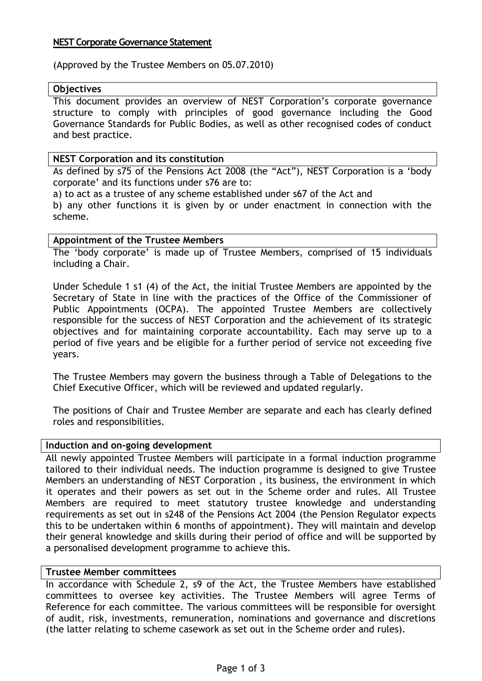## **NEST Corporate Governance Statement**

(Approved by the Trustee Members on 05.07.2010)

### **Objectives**

This document provides an overview of NEST Corporation"s corporate governance structure to comply with principles of good governance including the Good Governance Standards for Public Bodies, as well as other recognised codes of conduct and best practice.

## **NEST Corporation and its constitution**

As defined by s75 of the Pensions Act 2008 (the "Act"), NEST Corporation is a "body corporate" and its functions under s76 are to:

a) to act as a trustee of any scheme established under s67 of the Act and b) any other functions it is given by or under enactment in connection with the scheme.

## **Appointment of the Trustee Members**

The 'body corporate' is made up of Trustee Members, comprised of 15 individuals including a Chair.

Under Schedule 1 s1 (4) of the Act, the initial Trustee Members are appointed by the Secretary of State in line with the practices of the Office of the Commissioner of Public Appointments (OCPA). The appointed Trustee Members are collectively responsible for the success of NEST Corporation and the achievement of its strategic objectives and for maintaining corporate accountability. Each may serve up to a period of five years and be eligible for a further period of service not exceeding five years.

The Trustee Members may govern the business through a Table of Delegations to the Chief Executive Officer, which will be reviewed and updated regularly.

The positions of Chair and Trustee Member are separate and each has clearly defined roles and responsibilities.

## **Induction and on-going development**

All newly appointed Trustee Members will participate in a formal induction programme tailored to their individual needs. The induction programme is designed to give Trustee Members an understanding of NEST Corporation , its business, the environment in which it operates and their powers as set out in the Scheme order and rules. All Trustee Members are required to meet statutory trustee knowledge and understanding requirements as set out in s248 of the Pensions Act 2004 (the Pension Regulator expects this to be undertaken within 6 months of appointment). They will maintain and develop their general knowledge and skills during their period of office and will be supported by a personalised development programme to achieve this.

# **Trustee Member committees**

In accordance with Schedule 2, s9 of the Act, the Trustee Members have established committees to oversee key activities. The Trustee Members will agree Terms of Reference for each committee. The various committees will be responsible for oversight of audit, risk, investments, remuneration, nominations and governance and discretions (the latter relating to scheme casework as set out in the Scheme order and rules).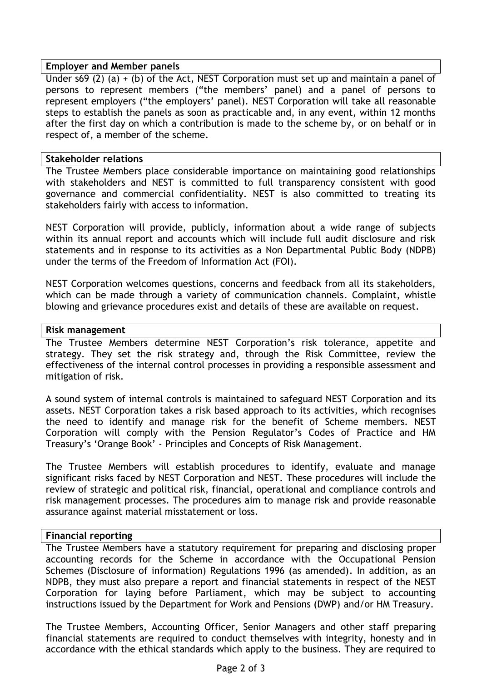### **Employer and Member panels**

Under s69 (2) (a) + (b) of the Act, NEST Corporation must set up and maintain a panel of persons to represent members ("the members" panel) and a panel of persons to represent employers ("the employers" panel). NEST Corporation will take all reasonable steps to establish the panels as soon as practicable and, in any event, within 12 months after the first day on which a contribution is made to the scheme by, or on behalf or in respect of, a member of the scheme.

### **Stakeholder relations**

The Trustee Members place considerable importance on maintaining good relationships with stakeholders and NEST is committed to full transparency consistent with good governance and commercial confidentiality. NEST is also committed to treating its stakeholders fairly with access to information.

NEST Corporation will provide, publicly, information about a wide range of subjects within its annual report and accounts which will include full audit disclosure and risk statements and in response to its activities as a Non Departmental Public Body (NDPB) under the terms of the Freedom of Information Act (FOI).

NEST Corporation welcomes questions, concerns and feedback from all its stakeholders, which can be made through a variety of communication channels. Complaint, whistle blowing and grievance procedures exist and details of these are available on request.

### **Risk management**

The Trustee Members determine NEST Corporation"s risk tolerance, appetite and strategy. They set the risk strategy and, through the Risk Committee, review the effectiveness of the internal control processes in providing a responsible assessment and mitigation of risk.

A sound system of internal controls is maintained to safeguard NEST Corporation and its assets. NEST Corporation takes a risk based approach to its activities, which recognises the need to identify and manage risk for the benefit of Scheme members. NEST Corporation will comply with the Pension Regulator"s Codes of Practice and HM Treasury"s "Orange Book" - Principles and Concepts of Risk Management.

The Trustee Members will establish procedures to identify, evaluate and manage significant risks faced by NEST Corporation and NEST. These procedures will include the review of strategic and political risk, financial, operational and compliance controls and risk management processes. The procedures aim to manage risk and provide reasonable assurance against material misstatement or loss.

## **Financial reporting**

The Trustee Members have a statutory requirement for preparing and disclosing proper accounting records for the Scheme in accordance with the Occupational Pension Schemes (Disclosure of information) Regulations 1996 (as amended). In addition, as an NDPB, they must also prepare a report and financial statements in respect of the NEST Corporation for laying before Parliament, which may be subject to accounting instructions issued by the Department for Work and Pensions (DWP) and/or HM Treasury.

The Trustee Members, Accounting Officer, Senior Managers and other staff preparing financial statements are required to conduct themselves with integrity, honesty and in accordance with the ethical standards which apply to the business. They are required to